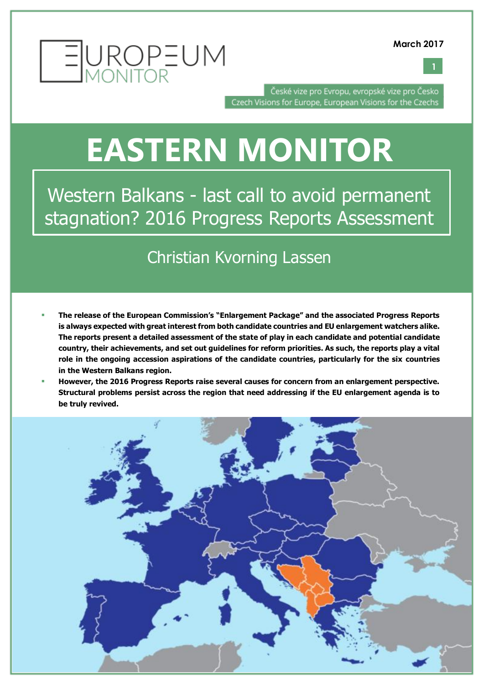



České vize pro Evropu, evropské vize pro Česko Czech Visions for Europe, European Visions for the Czechs

### **EASTERN MONITOR**

Western Balkans - last call to avoid permanent stagnation? 2016 Progress Reports Assessment

#### Christian Kvorning Lassen

- **The release of the European Commission's "Enlargement Package" and the associated Progress Reports is always expected with great interest from both candidate countries and EU enlargement watchers alike. The reports present a detailed assessment of the state of play in each candidate and potential candidate country, their achievements, and set out guidelines for reform priorities. As such, the reports play a vital role in the ongoing accession aspirations of the candidate countries, particularly for the six countries in the Western Balkans region.**
- **However, the 2016 Progress Reports raise several causes for concern from an enlargement perspective. Structural problems persist across the region that need addressing if the EU enlargement agenda is to be truly revived.**

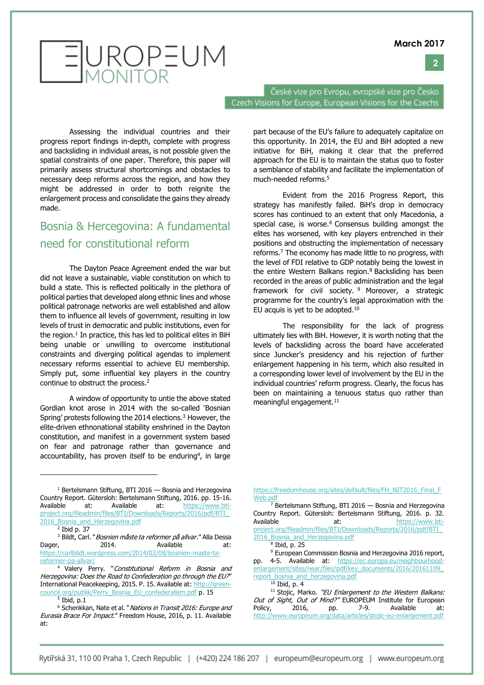**2**

## EUROPEUM

České vize pro Evropu, evropské vize pro Česko Czech Visions for Europe, European Visions for the Czechs

Assessing the individual countries and their progress report findings in-depth, complete with progress and backsliding in individual areas, is not possible given the spatial constraints of one paper. Therefore, this paper will primarily assess structural shortcomings and obstacles to necessary deep reforms across the region, and how they might be addressed in order to both reignite the enlargement process and consolidate the gains they already made.

#### Bosnia & Hercegovina: A fundamental need for constitutional reform

The Dayton Peace Agreement ended the war but did not leave a sustainable, viable constitution on which to build a state. This is reflected politically in the plethora of political parties that developed along ethnic lines and whose political patronage networks are well established and allow them to influence all levels of government, resulting in low levels of trust in democratic and public institutions, even for the region. $1$  In practice, this has led to political elites in BiH being unable or unwilling to overcome institutional constraints and diverging political agendas to implement necessary reforms essential to achieve EU membership. Simply put, some influential key players in the country continue to obstruct the process.<sup>2</sup>

A window of opportunity to untie the above stated Gordian knot arose in 2014 with the so-called 'Bosnian Spring' protests following the 2014 elections.<sup>3</sup> However, the elite-driven ethnonational stability enshrined in the Dayton constitution, and manifest in a government system based on fear and patronage rather than governance and accountability, has proven itself to be enduring<sup>4</sup>, in large

 $\overline{a}$ 

part because of the EU's failure to adequately capitalize on this opportunity. In 2014, the EU and BiH adopted a new initiative for BiH, making it clear that the preferred approach for the EU is to maintain the status quo to foster a semblance of stability and facilitate the implementation of much-needed reforms.<sup>5</sup>

Evident from the 2016 Progress Report, this strategy has manifestly failed. BiH's drop in democracy scores has continued to an extent that only Macedonia, a special case, is worse.<sup>6</sup> Consensus building amongst the elites has worsened, with key players entrenched in their positions and obstructing the implementation of necessary reforms.<sup>7</sup> The economy has made little to no progress, with the level of FDI relative to GDP notably being the lowest in the entire Western Balkans region.<sup>8</sup> Backsliding has been recorded in the areas of public administration and the legal framework for civil society. <sup>9</sup> Moreover, a strategic programme for the country's legal approximation with the EU acquis is yet to be adopted. $10$ 

The responsibility for the lack of progress ultimately lies with BiH. However, it is worth noting that the levels of backsliding across the board have accelerated since Juncker's presidency and his rejection of further enlargement happening in his term, which also resulted in a corresponding lower level of involvement by the EU in the individual countries' reform progress. Clearly, the focus has been on maintaining a tenuous status quo rather than meaningful engagement.<sup>11</sup>

 $\frac{7}{7}$  Bertelsmann Stiftung, BTI 2016 — Bosnia and Herzegovina Country Report. Gütersloh: Bertelsmann Stiftung, 2016. p. 32. Available at: [https://www.bti](https://www.bti-project.org/fileadmin/files/BTI/Downloads/Reports/2016/pdf/BTI_2016_Bosnia_and_Herzegovina.pdf)[project.org/fileadmin/files/BTI/Downloads/Reports/2016/pdf/BTI\\_](https://www.bti-project.org/fileadmin/files/BTI/Downloads/Reports/2016/pdf/BTI_2016_Bosnia_and_Herzegovina.pdf) 2016 Bosnia and Herzegovina.pdf

 $1$  Bertelsmann Stiftung, BTI 2016  $-$  Bosnia and Herzegovina Country Report. Gütersloh: Bertelsmann Stiftung, 2016. pp. 15-16. Available at: Available at: [https://www.bti](https://www.bti-project.org/fileadmin/files/BTI/Downloads/Reports/2016/pdf/BTI_2016_Bosnia_and_Herzegovina.pdf)[project.org/fileadmin/files/BTI/Downloads/Reports/2016/pdf/BTI\\_](https://www.bti-project.org/fileadmin/files/BTI/Downloads/Reports/2016/pdf/BTI_2016_Bosnia_and_Herzegovina.pdf) 2016 Bosnia and Herzegovina.pdf

 $<sup>2</sup>$  Ibid p. 37</sup>

<sup>&</sup>lt;sup>3</sup> Bildt, Carl. "Bosnien måste ta reformer på allvar." Alla Dessa Dager, 2014. Available at: [https://carlbildt.wordpress.com/2014/02/08/bosnien-maste-ta](https://carlbildt.wordpress.com/2014/02/08/bosnien-maste-ta-reformer-pa-allvar/)[reformer-pa-allvar/](https://carlbildt.wordpress.com/2014/02/08/bosnien-maste-ta-reformer-pa-allvar/)

<sup>4</sup> Valery Perry. "Constitutional Reform in Bosnia and Herzegovina: Does the Road to Confederation go through the EU?" International Peacekeeping, 2015. P. 15. Available at[: http://green](http://green-council.org/publik/Perry_Bosnia_EU_confederalism.pdf)[council.org/publik/Perry\\_Bosnia\\_EU\\_confederalism.pdf](http://green-council.org/publik/Perry_Bosnia_EU_confederalism.pdf) p. 15

 $^5$  Ibid, p.1

<sup>&</sup>lt;sup>6</sup> Schenkkan, Nate et al. "Nations in Transit 2016: Europe and Eurasia Brace For Impact." Freedom House, 2016, p. 11. Available at:

[https://freedomhouse.org/sites/default/files/FH\\_NIT2016\\_Final\\_F](https://freedomhouse.org/sites/default/files/FH_NIT2016_Final_FWeb.pdf) [Web.pdf](https://freedomhouse.org/sites/default/files/FH_NIT2016_Final_FWeb.pdf)

<sup>8</sup> Ibid, p. 25

<sup>9</sup> European Commission Bosnia and Herzegovina 2016 report, pp. 4-5. Available at: [https://ec.europa.eu/neighbourhood](https://ec.europa.eu/neighbourhood-enlargement/sites/near/files/pdf/key_documents/2016/20161109_report_bosnia_and_herzegovina.pdf)enlargement/sites/near/files/pdf/key\_documents/2016/20161109 [report\\_bosnia\\_and\\_herzegovina.pdf](https://ec.europa.eu/neighbourhood-enlargement/sites/near/files/pdf/key_documents/2016/20161109_report_bosnia_and_herzegovina.pdf)

 $10$  Ibid, p. 4

<sup>&</sup>lt;sup>11</sup> Stojic, Marko. "EU Enlargement to the Western Balkans: Out of Sight, Out of Mind?" EUROPEUM Institute for European Policy, 2016, pp. 7-9. Available at: Policy, 2016, pp. 7-9. Available at: <http://www.europeum.org/data/articles/stojic-eu-enlargement.pdf>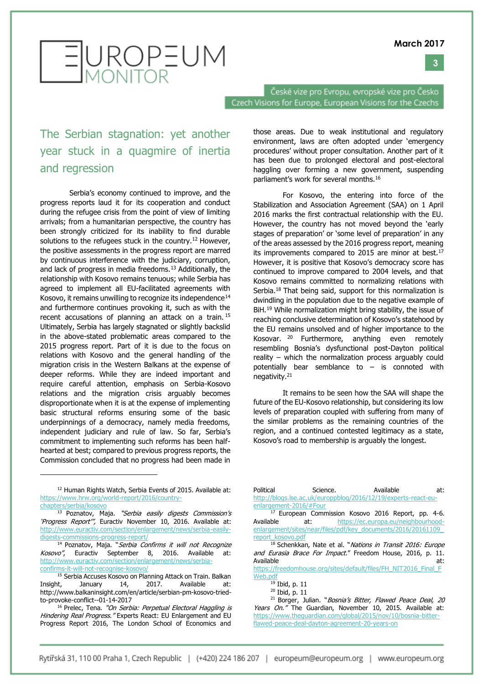**3**



České vize pro Evropu, evropské vize pro Česko Czech Visions for Europe, European Visions for the Czechs

#### The Serbian stagnation: yet another year stuck in a quagmire of inertia and regression

Serbia's economy continued to improve, and the progress reports laud it for its cooperation and conduct during the refugee crisis from the point of view of limiting arrivals; from a humanitarian perspective, the country has been strongly criticized for its inability to find durable solutions to the refugees stuck in the country.<sup>12</sup> However, the positive assessments in the progress report are marred by continuous interference with the judiciary, corruption, and lack of progress in media freedoms.<sup>13</sup> Additionally, the relationship with Kosovo remains tenuous; while Serbia has agreed to implement all EU-facilitated agreements with Kosovo, it remains unwilling to recognize its independence<sup>14</sup> and furthermore continues provoking it, such as with the recent accusations of planning an attack on a train. <sup>15</sup> Ultimately, Serbia has largely stagnated or slightly backslid in the above-stated problematic areas compared to the 2015 progress report. Part of it is due to the focus on relations with Kosovo and the general handling of the migration crisis in the Western Balkans at the expense of deeper reforms. While they are indeed important and require careful attention, emphasis on Serbia-Kosovo relations and the migration crisis arguably becomes disproportionate when it is at the expense of implementing basic structural reforms ensuring some of the basic underpinnings of a democracy, namely media freedoms, independent judiciary and rule of law. So far, Serbia's commitment to implementing such reforms has been halfhearted at best; compared to previous progress reports, the Commission concluded that no progress had been made in

[chapters/serbia/kosovo](https://www.hrw.org/world-report/2016/country-chapters/serbia/kosovo)

 $\overline{a}$ 

<sup>13</sup> Poznatov, Maja. "Serbia easily digests Commission's 'Progress Report", Euractiv November 10, 2016. Available at: [http://www.euractiv.com/section/enlargement/news/serbia-easily](http://www.euractiv.com/section/enlargement/news/serbia-easily-digests-commissions-progress-report/)[digests-commissions-progress-report/](http://www.euractiv.com/section/enlargement/news/serbia-easily-digests-commissions-progress-report/)

<sup>14</sup> Poznatov, Maja. "Serbia Confirms it will not Recognize Kosovo", Euractiv September 8, 2016. Available at: [http://www.euractiv.com/section/enlargement/news/serbia](http://www.euractiv.com/section/enlargement/news/serbia-confirms-it-will-not-recognise-kosovo/)[confirms-it-will-not-recognise-kosovo/](http://www.euractiv.com/section/enlargement/news/serbia-confirms-it-will-not-recognise-kosovo/)

those areas. Due to weak institutional and regulatory environment, laws are often adopted under 'emergency procedures' without proper consultation. Another part of it has been due to prolonged electoral and post-electoral haggling over forming a new government, suspending parliament's work for several months.<sup>16</sup>

For Kosovo, the entering into force of the Stabilization and Association Agreement (SAA) on 1 April 2016 marks the first contractual relationship with the EU. However, the country has not moved beyond the 'early stages of preparation' or 'some level of preparation' in any of the areas assessed by the 2016 progress report, meaning its improvements compared to 2015 are minor at best.<sup>17</sup> However, it is positive that Kosovo's democracy score has continued to improve compared to 2004 levels, and that Kosovo remains committed to normalizing relations with Serbia.<sup>18</sup> That being said, support for this normalization is dwindling in the population due to the negative example of BiH.<sup>19</sup> While normalization might bring stability, the issue of reaching conclusive determination of Kosovo's statehood by the EU remains unsolved and of higher importance to the Kosovar. <sup>20</sup> Furthermore, anything even remotely resembling Bosnia's dysfunctional post-Dayton political reality – which the normalization process arguably could potentially bear semblance to – is connoted with negativity.<sup>21</sup>

It remains to be seen how the SAA will shape the future of the EU-Kosovo relationship, but considering its low levels of preparation coupled with suffering from many of the similar problems as the remaining countries of the region, and a continued contested legitimacy as a state, Kosovo's road to membership is arguably the longest.

| Political              | Science. | Available                                                      | at: |
|------------------------|----------|----------------------------------------------------------------|-----|
|                        |          | http://blogs.lse.ac.uk/europpblog/2016/12/19/experts-react-eu- |     |
| enlargement-2016/#Four |          |                                                                |     |

<sup>17</sup> European Commission Kosovo 2016 Report, pp. 4-6. Available at: [https://ec.europa.eu/neighbourhood](https://ec.europa.eu/neighbourhood-enlargement/sites/near/files/pdf/key_documents/2016/20161109_report_kosovo.pdf)[enlargement/sites/near/files/pdf/key\\_documents/2016/20161109\\_](https://ec.europa.eu/neighbourhood-enlargement/sites/near/files/pdf/key_documents/2016/20161109_report_kosovo.pdf) [report\\_kosovo.pdf](https://ec.europa.eu/neighbourhood-enlargement/sites/near/files/pdf/key_documents/2016/20161109_report_kosovo.pdf)

<sup>18</sup> Schenkkan, Nate et al. "Nations in Transit 2016: Europe and Eurasia Brace For Impact." Freedom House, 2016, p. 11. Available at:

[https://freedomhouse.org/sites/default/files/FH\\_NIT2016\\_Final\\_F](https://freedomhouse.org/sites/default/files/FH_NIT2016_Final_FWeb.pdf) [Web.pdf](https://freedomhouse.org/sites/default/files/FH_NIT2016_Final_FWeb.pdf) 

<sup>19</sup> Ibid, p. 11

<sup>20</sup> Ibid, p. 11

<sup>21</sup> Borger, Julian. "Bosnia's Bitter, Flawed Peace Deal, 20 Years On." The Guardian, November 10, 2015. Available at: [https://www.theguardian.com/global/2015/nov/10/bosnia-bitter](https://www.theguardian.com/global/2015/nov/10/bosnia-bitter-flawed-peace-deal-dayton-agreement-20-years-on)[flawed-peace-deal-dayton-agreement-20-years-on](https://www.theguardian.com/global/2015/nov/10/bosnia-bitter-flawed-peace-deal-dayton-agreement-20-years-on)

<sup>&</sup>lt;sup>12</sup> Human Rights Watch, Serbia Events of 2015. Available at: [https://www.hrw.org/world-report/2016/country-](https://www.hrw.org/world-report/2016/country-chapters/serbia/kosovo)

<sup>&</sup>lt;sup>15</sup> Serbia Accuses Kosovo on Planning Attack on Train. Balkan Insight, January 14, 2017. Available at: http://www.balkaninsight.com/en/article/serbian-pm-kosovo-triedto-provoke-conflict--01-14-2017

<sup>&</sup>lt;sup>16</sup> Prelec, Tena. "On Serbia: Perpetual Electoral Haggling is Hindering Real Progress." Experts React: EU Enlargement and EU Progress Report 2016, The London School of Economics and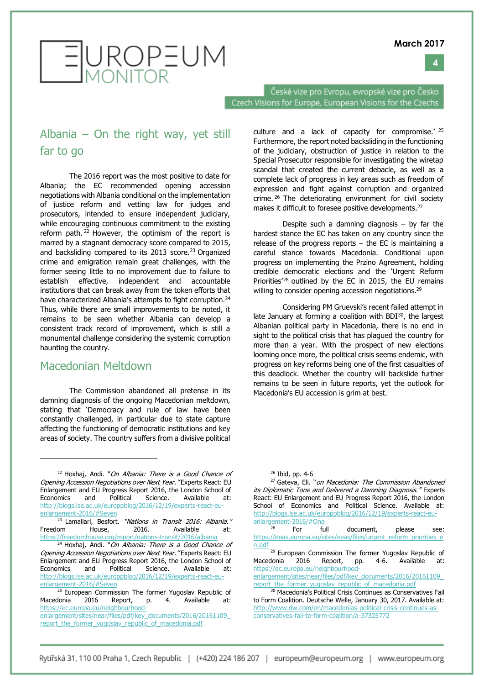



České vize pro Evropu, evropské vize pro Česko Czech Visions for Europe, European Visions for the Czechs

#### Albania – On the right way, yet still far to go

The 2016 report was the most positive to date for Albania; the EC recommended opening accession negotiations with Albania conditional on the implementation of justice reform and vetting law for judges and prosecutors, intended to ensure independent judiciary, while encouraging continuous commitment to the existing reform path.<sup>22</sup> However, the optimism of the report is marred by a stagnant democracy score compared to 2015, and backsliding compared to its 2013 score.<sup>23</sup> Organized crime and emigration remain great challenges, with the former seeing little to no improvement due to failure to establish effective, independent and accountable institutions that can break away from the token efforts that have characterized Albania's attempts to fight corruption.<sup>24</sup> Thus, while there are small improvements to be noted, it remains to be seen whether Albania can develop a consistent track record of improvement, which is still a monumental challenge considering the systemic corruption haunting the country.

#### Macedonian Meltdown

 $\overline{a}$ 

The Commission abandoned all pretense in its damning diagnosis of the ongoing Macedonian meltdown, stating that 'Democracy and rule of law have been constantly challenged, in particular due to state capture affecting the functioning of democratic institutions and key areas of society. The country suffers from a divisive political culture and a lack of capacity for compromise.' <sup>25</sup> Furthermore, the report noted backsliding in the functioning of the judiciary, obstruction of justice in relation to the Special Prosecutor responsible for investigating the wiretap scandal that created the current debacle, as well as a complete lack of progress in key areas such as freedom of expression and fight against corruption and organized crime. <sup>26</sup> The deteriorating environment for civil society makes it difficult to foresee positive developments.<sup>27</sup>

Despite such a damning diagnosis  $-$  by far the hardest stance the EC has taken on any country since the release of the progress reports  $-$  the EC is maintaining a careful stance towards Macedonia. Conditional upon progress on implementing the Przino Agreement, holding credible democratic elections and the 'Urgent Reform Priorities'<sup>28</sup> outlined by the EC in 2015, the EU remains willing to consider opening accession negotiations.<sup>29</sup>

Considering PM Gruevski's recent failed attempt in late January at forming a coalition with  $BDI^{30}$ , the largest Albanian political party in Macedonia, there is no end in sight to the political crisis that has plagued the country for more than a year. With the prospect of new elections looming once more, the political crisis seems endemic, with progress on key reforms being one of the first casualties of this deadlock. Whether the country will backslide further remains to be seen in future reports, yet the outlook for Macedonia's EU accession is grim at best.

 $22$  Hoxhaj, Andi. "On Albania: There is a Good Chance of Opening Accession Negotiations over Next Year." Experts React: EU Enlargement and EU Progress Report 2016, the London School of Economics and Political Science. Available at: [http://blogs.lse.ac.uk/europpblog/2016/12/19/experts-react-eu](http://blogs.lse.ac.uk/europpblog/2016/12/19/experts-react-eu-enlargement-2016/#Seven)[enlargement-2016/#Seven](http://blogs.lse.ac.uk/europpblog/2016/12/19/experts-react-eu-enlargement-2016/#Seven) 

<sup>&</sup>lt;sup>23</sup> Lamallari, Besfort. "Nations in Transit 2016: Albania." Freedom House, 2016. Available at: <https://freedomhouse.org/report/nations-transit/2016/albania>

 $24$  Hoxhaj, Andi. "On Albania: There is a Good Chance of Opening Accession Negotiations over Next Year." Experts React: EU Enlargement and EU Progress Report 2016, the London School of Economics and Political Science. Available at: [http://blogs.lse.ac.uk/europpblog/2016/12/19/experts-react-eu](http://blogs.lse.ac.uk/europpblog/2016/12/19/experts-react-eu-enlargement-2016/#Seven)[enlargement-2016/#Seven](http://blogs.lse.ac.uk/europpblog/2016/12/19/experts-react-eu-enlargement-2016/#Seven)

<sup>&</sup>lt;sup>25</sup> European Commission The former Yugoslav Republic of Macedonia 2016 Report, p. 4. Available at: [https://ec.europa.eu/neighbourhood-](https://ec.europa.eu/neighbourhood-enlargement/sites/near/files/pdf/key_documents/2016/20161109_report_the_former_yugoslav_republic_of_macedonia.pdf)

[enlargement/sites/near/files/pdf/key\\_documents/2016/20161109\\_](https://ec.europa.eu/neighbourhood-enlargement/sites/near/files/pdf/key_documents/2016/20161109_report_the_former_yugoslav_republic_of_macedonia.pdf) report the former yugoslav republic of macedonia.pdf

<sup>26</sup> Ibid, pp. 4-6

<sup>&</sup>lt;sup>27</sup> Gateva, Eli. "on Macedonia: The Commission Abandoned its Diplomatic Tone and Delivered a Damning Diagnosis." Experts React: EU Enlargement and EU Progress Report 2016, the London School of Economics and Political Science. Available at: [http://blogs.lse.ac.uk/europpblog/2016/12/19/experts-react-eu](http://blogs.lse.ac.uk/europpblog/2016/12/19/experts-react-eu-enlargement-2016/#One)[enlargement-2016/#One](http://blogs.lse.ac.uk/europpblog/2016/12/19/experts-react-eu-enlargement-2016/#One)

For full document, please see: [https://eeas.europa.eu/sites/eeas/files/urgent\\_reform\\_priorities\\_e](https://eeas.europa.eu/sites/eeas/files/urgent_reform_priorities_en.pdf) [n.pdf](https://eeas.europa.eu/sites/eeas/files/urgent_reform_priorities_en.pdf)

<sup>&</sup>lt;sup>29</sup> European Commission The former Yugoslav Republic of Macedonia 2016 Report, pp. 4-6. Available at: [https://ec.europa.eu/neighbourhood-](https://ec.europa.eu/neighbourhood-enlargement/sites/near/files/pdf/key_documents/2016/20161109_report_the_former_yugoslav_republic_of_macedonia.pdf)

enlargement/sites/near/files/pdf/key\_documents/2016/20161109 report the former yugoslav republic of macedonia.pdf

<sup>30</sup> Macedonia's Political Crisis Continues as Conservatives Fail to Form Coalition. Deutsche Welle, January 30, 2017. Available at: [http://www.dw.com/en/macedonias-political-crisis-continues-as](http://www.dw.com/en/macedonias-political-crisis-continues-as-conservatives-fail-to-form-coalition/a-37325772)[conservatives-fail-to-form-coalition/a-37325772](http://www.dw.com/en/macedonias-political-crisis-continues-as-conservatives-fail-to-form-coalition/a-37325772)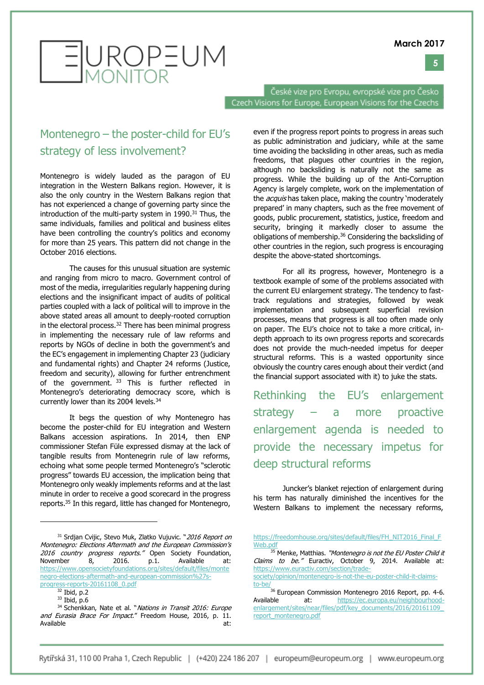**5**



# EUROPEUM

České vize pro Evropu, evropské vize pro Česko Czech Visions for Europe, European Visions for the Czechs

#### Montenegro – the poster-child for EU's strategy of less involvement?

Montenegro is widely lauded as the paragon of EU integration in the Western Balkans region. However, it is also the only country in the Western Balkans region that has not experienced a change of governing party since the introduction of the multi-party system in  $1990.<sup>31</sup>$  Thus, the same individuals, families and political and business elites have been controlling the country's politics and economy for more than 25 years. This pattern did not change in the October 2016 elections.

The causes for this unusual situation are systemic and ranging from micro to macro. Government control of most of the media, irregularities regularly happening during elections and the insignificant impact of audits of political parties coupled with a lack of political will to improve in the above stated areas all amount to deeply-rooted corruption in the electoral process.<sup>32</sup> There has been minimal progress in implementing the necessary rule of law reforms and reports by NGOs of decline in both the government's and the EC's engagement in implementing Chapter 23 (judiciary and fundamental rights) and Chapter 24 reforms (Justice, freedom and security), allowing for further entrenchment of the government. <sup>33</sup> This is further reflected in Montenegro's deteriorating democracy score, which is currently lower than its 2004 levels.<sup>34</sup>

It begs the question of why Montenegro has become the poster-child for EU integration and Western Balkans accession aspirations. In 2014, then ENP commissioner Stefan Füle expressed dismay at the lack of tangible results from Montenegrin rule of law reforms, echoing what some people termed Montenegro's "sclerotic progress" towards EU accession, the implication being that Montenegro only weakly implements reforms and at the last minute in order to receive a good scorecard in the progress reports.<sup>35</sup> In this regard, little has changed for Montenegro,

-

even if the progress report points to progress in areas such as public administration and judiciary, while at the same time avoiding the backsliding in other areas, such as media freedoms, that plagues other countries in the region, although no backsliding is naturally not the same as progress. While the building up of the Anti-Corruption Agency is largely complete, work on the implementation of the *acquis* has taken place, making the country 'moderately prepared' in many chapters, such as the free movement of goods, public procurement, statistics, justice, freedom and security, bringing it markedly closer to assume the obligations of membership.<sup>36</sup> Considering the backsliding of other countries in the region, such progress is encouraging despite the above-stated shortcomings.

For all its progress, however, Montenegro is a textbook example of some of the problems associated with the current EU enlargement strategy. The tendency to fasttrack regulations and strategies, followed by weak implementation and subsequent superficial revision processes, means that progress is all too often made only on paper. The EU's choice not to take a more critical, indepth approach to its own progress reports and scorecards does not provide the much-needed impetus for deeper structural reforms. This is a wasted opportunity since obviously the country cares enough about their verdict (and the financial support associated with it) to juke the stats.

Rethinking the EU's enlargement strategy – a more proactive enlargement agenda is needed to provide the necessary impetus for deep structural reforms

Juncker's blanket rejection of enlargement during his term has naturally diminished the incentives for the Western Balkans to implement the necessary reforms,

<sup>31</sup> Srdjan Cvijic, Stevo Muk, Zlatko Vujuvic. "2016 Report on Montenegro: Elections Aftermath and the European Commission's 2016 country progress reports." Open Society Foundation, November 8, 2016. p.1. Available [https://www.opensocietyfoundations.org/sites/default/files/monte](https://www.opensocietyfoundations.org/sites/default/files/montenegro-elections-aftermath-and-european-commission%27s-progress-reports-20161108_0.pdf) [negro-elections-aftermath-and-european-commission%27s](https://www.opensocietyfoundations.org/sites/default/files/montenegro-elections-aftermath-and-european-commission%27s-progress-reports-20161108_0.pdf)[progress-reports-20161108\\_0.pdf](https://www.opensocietyfoundations.org/sites/default/files/montenegro-elections-aftermath-and-european-commission%27s-progress-reports-20161108_0.pdf)

 $32$  Ibid, p.2

<sup>33</sup> Ibid, p.6

<sup>34</sup> Schenkkan, Nate et al. "Nations in Transit 2016: Europe and Eurasia Brace For Impact." Freedom House, 2016, p. 11. Available at:

[https://freedomhouse.org/sites/default/files/FH\\_NIT2016\\_Final\\_F](https://freedomhouse.org/sites/default/files/FH_NIT2016_Final_FWeb.pdf) [Web.pdf](https://freedomhouse.org/sites/default/files/FH_NIT2016_Final_FWeb.pdf)

<sup>&</sup>lt;sup>35</sup> Menke, Matthias. "Montenegro is not the EU Poster Child it Claims to be." Euractiv, October 9, 2014. Available at: [https://www.euractiv.com/section/trade-](https://www.euractiv.com/section/trade-society/opinion/montenegro-is-not-the-eu-poster-child-it-claims-to-be/)

[society/opinion/montenegro-is-not-the-eu-poster-child-it-claims](https://www.euractiv.com/section/trade-society/opinion/montenegro-is-not-the-eu-poster-child-it-claims-to-be/)[to-be/](https://www.euractiv.com/section/trade-society/opinion/montenegro-is-not-the-eu-poster-child-it-claims-to-be/)

 $^{\frac{1}{36}}$  European Commission Montenegro 2016 Report, pp. 4-6. Available at: [https://ec.europa.eu/neighbourhood](https://ec.europa.eu/neighbourhood-enlargement/sites/near/files/pdf/key_documents/2016/20161109_report_montenegro.pdf)[enlargement/sites/near/files/pdf/key\\_documents/2016/20161109\\_](https://ec.europa.eu/neighbourhood-enlargement/sites/near/files/pdf/key_documents/2016/20161109_report_montenegro.pdf) [report\\_montenegro.pdf](https://ec.europa.eu/neighbourhood-enlargement/sites/near/files/pdf/key_documents/2016/20161109_report_montenegro.pdf)